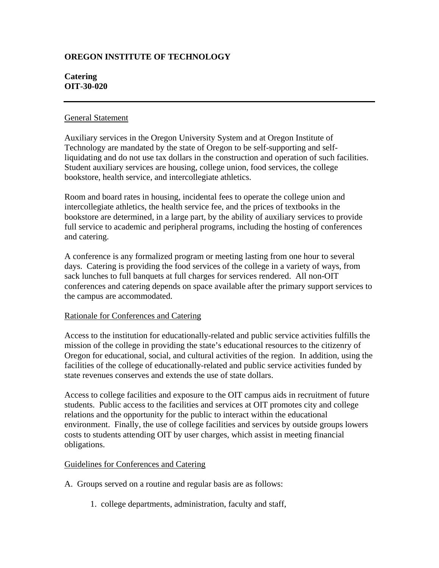# **OREGON INSTITUTE OF TECHNOLOGY**

### **Catering OIT-30-020**

#### General Statement

Auxiliary services in the Oregon University System and at Oregon Institute of Technology are mandated by the state of Oregon to be self-supporting and selfliquidating and do not use tax dollars in the construction and operation of such facilities. Student auxiliary services are housing, college union, food services, the college bookstore, health service, and intercollegiate athletics.

Room and board rates in housing, incidental fees to operate the college union and intercollegiate athletics, the health service fee, and the prices of textbooks in the bookstore are determined, in a large part, by the ability of auxiliary services to provide full service to academic and peripheral programs, including the hosting of conferences and catering.

A conference is any formalized program or meeting lasting from one hour to several days. Catering is providing the food services of the college in a variety of ways, from sack lunches to full banquets at full charges for services rendered. All non-OIT conferences and catering depends on space available after the primary support services to the campus are accommodated.

## Rationale for Conferences and Catering

Access to the institution for educationally-related and public service activities fulfills the mission of the college in providing the state's educational resources to the citizenry of Oregon for educational, social, and cultural activities of the region. In addition, using the facilities of the college of educationally-related and public service activities funded by state revenues conserves and extends the use of state dollars.

Access to college facilities and exposure to the OIT campus aids in recruitment of future students. Public access to the facilities and services at OIT promotes city and college relations and the opportunity for the public to interact within the educational environment. Finally, the use of college facilities and services by outside groups lowers costs to students attending OIT by user charges, which assist in meeting financial obligations.

## Guidelines for Conferences and Catering

- A. Groups served on a routine and regular basis are as follows:
	- 1. college departments, administration, faculty and staff,